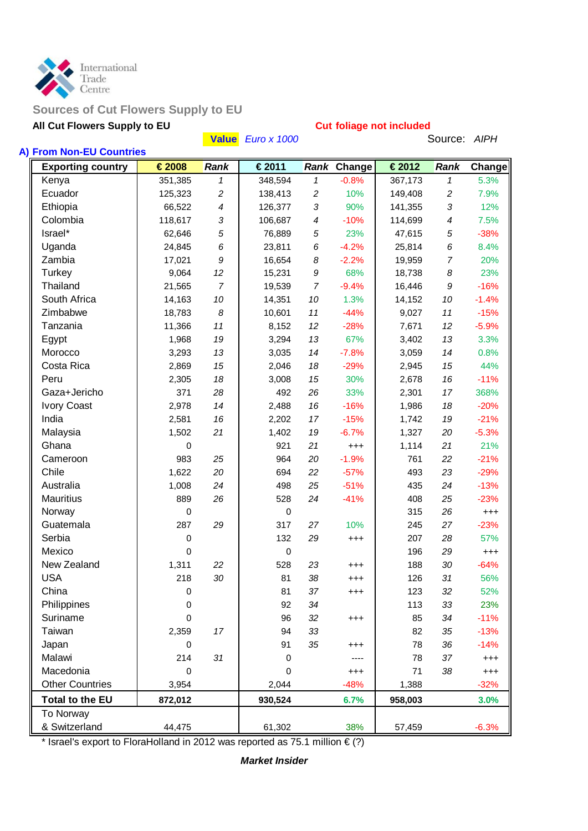

## **Sources of Cut Flowers Supply to EU**

# **All Cut Flowers Supply to EU Cut foliage not included Cut foliage not included Cut Flowers Supply to EU**

|                                                      |         |                | Value Euro x 1000 |                |             |                | Source: AIPH |          |
|------------------------------------------------------|---------|----------------|-------------------|----------------|-------------|----------------|--------------|----------|
| A) From Non-EU Countries<br><b>Exporting country</b> | €2008   | <b>Rank</b>    | €2011             |                | Rank Change | €2012          | Rank         | Change   |
| Kenya                                                | 351,385 | $\mathbf{1}$   | 348,594           | $\mathbf{1}$   | $-0.8%$     | 367,173        | 1            | 5.3%     |
| Ecuador                                              | 125,323 | $\overline{c}$ | 138,413           | $\overline{c}$ | 10%         | 149,408        | 2            | 7.9%     |
| Ethiopia                                             | 66,522  | 4              | 126,377           | $\sqrt{3}$     | 90%         | 141,355        | 3            | 12%      |
| Colombia                                             | 118,617 | 3              | 106,687           | $\overline{4}$ | $-10%$      | 114,699        | 4            | 7.5%     |
| Israel*                                              | 62,646  | 5              | 76,889            | 5              | 23%         | 47,615         | 5            | $-38%$   |
| Uganda                                               | 24,845  | 6              | 23,811            | 6              | $-4.2%$     | 25,814         | 6            | 8.4%     |
| Zambia                                               | 17,021  | 9              | 16,654            | 8              | $-2.2%$     | 19,959         | 7            | 20%      |
| Turkey                                               | 9,064   | 12             | 15,231            | 9              | 68%         | 18,738         | 8            | 23%      |
| Thailand                                             | 21,565  | $\overline{7}$ | 19,539            | $\overline{7}$ | $-9.4%$     | 16,446         | 9            | $-16%$   |
| South Africa                                         | 14,163  | 10             | 14,351            | 10             | 1.3%        | 14,152         | 10           | $-1.4%$  |
| Zimbabwe                                             | 18,783  | 8              | 10,601            | 11             | $-44%$      | 9,027          | 11           | $-15%$   |
| Tanzania                                             | 11,366  | 11             | 8,152             | 12             | $-28%$      | 7,671          | 12           | $-5.9%$  |
| Egypt                                                | 1,968   | 19             | 3,294             | 13             | 67%         | 3,402          | 13           | 3.3%     |
| Morocco                                              | 3,293   | 13             | 3,035             | 14             | $-7.8%$     | 3,059          | 14           | 0.8%     |
| Costa Rica                                           | 2,869   | 15             | 2,046             | 18             | $-29%$      |                | 15           | 44%      |
| Peru                                                 | 2,305   | 18             | 3,008             | 15             | 30%         | 2,945<br>2,678 | 16           | $-11%$   |
| Gaza+Jericho                                         | 371     | 28             | 492               | 26             | 33%         |                |              |          |
|                                                      |         |                |                   |                |             | 2,301          | 17           | 368%     |
| <b>Ivory Coast</b>                                   | 2,978   | 14             | 2,488             | 16             | $-16%$      | 1,986          | 18           | $-20%$   |
| India                                                | 2,581   | 16             | 2,202             | 17             | $-15%$      | 1,742          | 19           | $-21%$   |
| Malaysia                                             | 1,502   | 21             | 1,402             | 19             | $-6.7%$     | 1,327          | 20           | $-5.3%$  |
| Ghana                                                | 0       |                | 921               | 21             | $^{+++}$    | 1,114          | 21           | 21%      |
| Cameroon                                             | 983     | 25             | 964               | 20             | $-1.9%$     | 761            | 22           | $-21%$   |
| Chile                                                | 1,622   | 20             | 694               | 22             | $-57%$      | 493            | 23           | $-29%$   |
| Australia                                            | 1,008   | 24             | 498               | 25             | $-51%$      | 435            | 24           | $-13%$   |
| <b>Mauritius</b>                                     | 889     | 26             | 528               | 24             | $-41%$      | 408            | 25           | $-23%$   |
| Norway                                               | 0       |                | $\mathbf 0$       |                |             | 315            | 26           | $^{+++}$ |
| Guatemala                                            | 287     | 29             | 317               | 27             | 10%         | 245            | 27           | $-23%$   |
| Serbia                                               | 0       |                | 132               | 29             | $^{+++}$    | 207            | 28           | 57%      |
| Mexico                                               | 0       |                | $\mathbf 0$       |                |             | 196            | 29           | $^{+++}$ |
| New Zealand                                          | 1,311   | 22             | 528               | 23             | $^{+++}$    | 188            | 30           | $-64%$   |
| <b>USA</b>                                           | 218     | 30             | 81                | 38             | $^{+++}$    | 126            | 31           | 56%      |
| China                                                | 0       |                | 81                | 37             | $^{+++}$    | 123            | 32           | 52%      |
| Philippines                                          | 0       |                | 92                | 34             |             | 113            | 33           | 23%      |
| Suriname                                             | 0       |                | 96                | 32             | $^{+++}$    | 85             | 34           | $-11%$   |
| Taiwan                                               | 2,359   | 17             | 94                | 33             |             | 82             | 35           | $-13%$   |
| Japan                                                | 0       |                | 91                | 35             | $^{+++}$    | 78             | 36           | $-14%$   |
| Malawi                                               | 214     | 31             | $\mathbf 0$       |                |             | 78             | 37           | $^{+++}$ |
| Macedonia                                            | 0       |                | $\Omega$          |                | $^{+++}$    | 71             | 38           | $^{+++}$ |
| <b>Other Countries</b>                               | 3,954   |                | 2,044             |                | $-48%$      | 1,388          |              | $-32%$   |
| <b>Total to the EU</b>                               | 872,012 |                | 930,524           |                | 6.7%        | 958,003        |              | 3.0%     |
| To Norway                                            |         |                |                   |                |             |                |              |          |
| & Switzerland                                        | 44,475  |                | 61,302            |                | 38%         | 57,459         |              | $-6.3%$  |

\* Israel's export to FloraHolland in 2012 was reported as 75.1 million  $\epsilon$  (?)

*Market Insider*